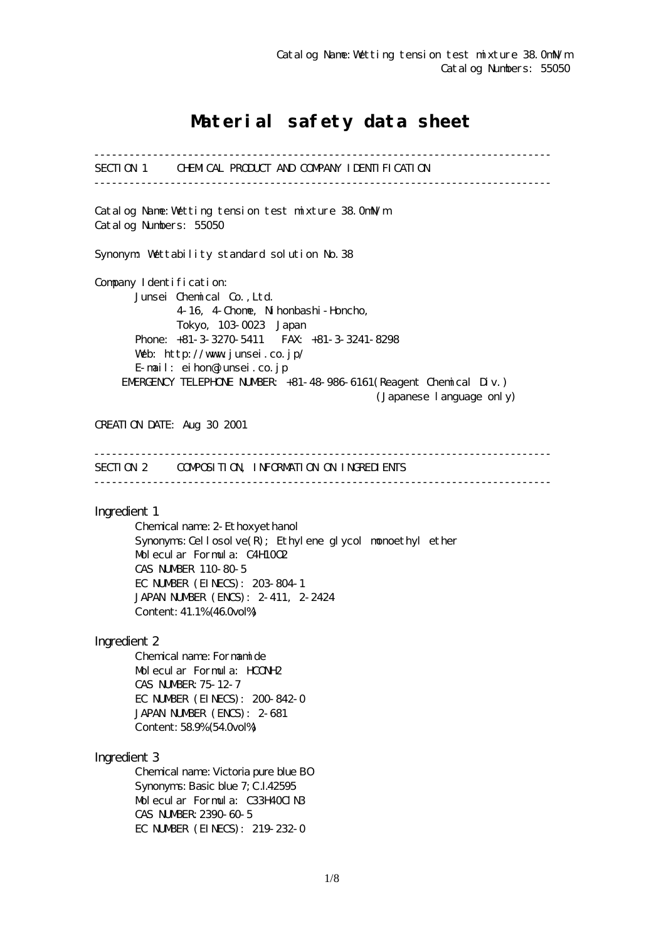# Material safety data sheet

------------------------------------------------------------------------------ SECTION 1 CHEMICAL PRODUCT AND COMPANY IDENTIFICATION ------------------------------------------------------------------------------ Catalog Name:Wetting tension test mixture 38.0mN/m Catalog Numbers: 55050 Synonym: Wettability standard solution No.38 Company I dentification: Junsei Chemical Co.,Ltd. 4-16, 4-Chome, Nihonbashi-Honcho, Tokyo, 103-0023 Japan Phone: +81-3-3270-5411 FAX: +81-3-3241-8298 Web: http://www.junsei.co.jp/ E-mail: eihon@junsei.co.jp EMERGENCY TELEPHONE NUMBER: +81-48-986-6161(Reagent Chemical Div.) (Japanese language only) CREATION DATE: Aug 30 2001 ------------------------------------------------------------------------------ SECTION 2 COMPOSITION, INFORMATION ON INGREDIENTS ------------------------------------------------------------------------------ Ingredient 1 Chemical name: 2-Ethoxyethanol Synonyms: Cellosolve $(R)$ ; Ethylene glycol monoethyl ether Molecular Formula: C4H10O2 CAS NUMBER 110-80-5 EC NUMBER (EINECS): 203-804-1 JAPAN NUMBER (ENCS): 2-411, 2-2424 Content: 41.1% (46.0vol%) Ingredient 2 Chemical name: Formamide Molecular Formula: HCONH2 CAS NUMBER:75-12-7 EC NUMBER (EINECS): 200-842-0 JAPAN NUMBER (ENCS): 2-681 Content: 58.9% (54.0vol%) Ingredient 3 Chemical name: Victoria pure blue BO Synonyms: Basic blue 7; C.I.42595 Molecular Formula: C33H40ClN3 CAS NUMBER:2390-60-5 EC NUMBER (EINECS): 219-232-0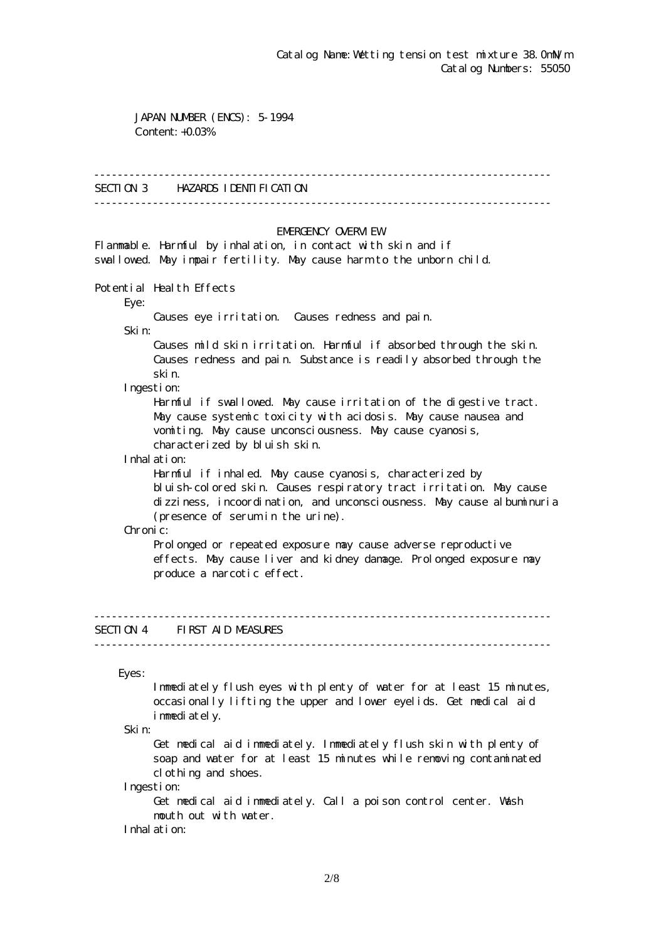JAPAN NUMBER (ENCS): 5-1994 Content: +0.03%

#### ------------------------------------------------------------------------------

## SECTION 3 HAZARDS IDENTIFICATION

------------------------------------------------------------------------------

### EMERGENCY CAERM EW

Flammable. Harmful by inhalation, in contact with skin and if swallowed. May impair fertility. May cause harm to the unborn child.

Potential Health Effects

Eye:

Causes eye irritation. Causes redness and pain.

Skin:

 Causes mild skin irritation. Harmful if absorbed through the skin. Causes redness and pain. Substance is readily absorbed through the skin.

Ingestion:

 Harmful if swallowed. May cause irritation of the digestive tract. May cause systemic toxicity with acidosis. May cause nausea and vomiting. May cause unconsciousness. May cause cyanosis, characterized by bluish skin.

Inhalation:

 Harmful if inhaled. May cause cyanosis, characterized by bluish-colored skin. Causes respiratory tract irritation. May cause dizziness, incoordination, and unconsciousness. May cause albuminuria (presence of serum in the urine).

Chronic:

Prolonged or repeated exposure may cause adverse reproductive effects. May cause liver and kidney damage. Prolonged exposure may produce a narcotic effect.

## SECTION 4 FIRST AID MEASURES

------------------------------------------------------------------------------

------------------------------------------------------------------------------

Eyes:

 Immediately flush eyes with plenty of water for at least 15 minutes, occasionally lifting the upper and lower eyelids. Get medical aid immediately.

Skin:

 Get medical aid immediately. Immediately flush skin with plenty of soap and water for at least 15 minutes while removing contaminated clothing and shoes.

Ingestion:

 Get medical aid immediately. Call a poison control center. Wash mouth out with water.

Inhalation: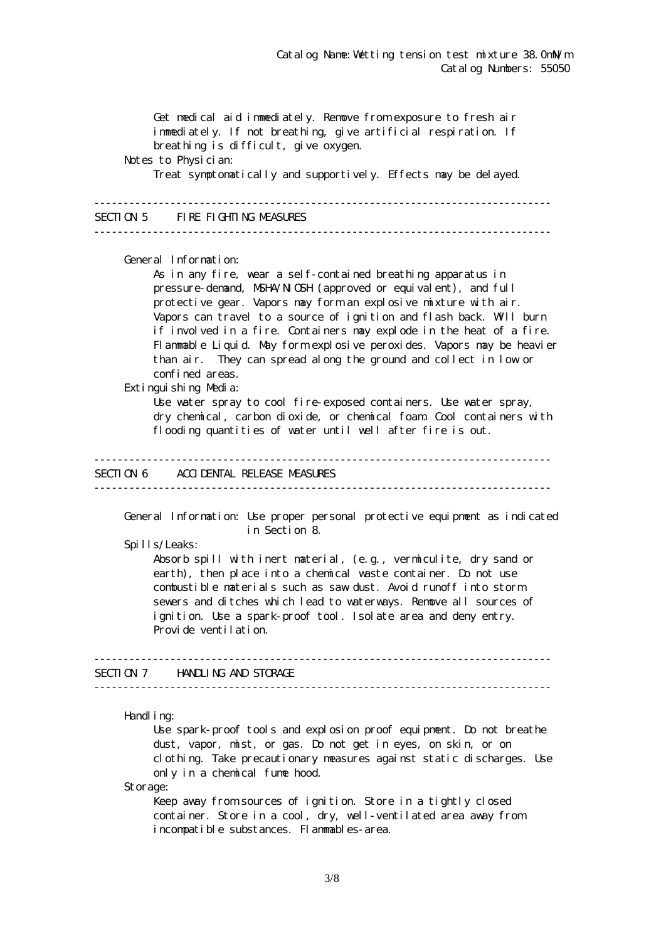Get medical aid immediately. Remove from exposure to fresh air immediately. If not breathing, give artificial respiration. If breathing is difficult, give oxygen. Notes to Physician: Treat symptomatically and supportively. Effects may be delayed. ------------------------------------------------------------------------------ SECTION 5 FIRE FIGHTING MEASURES ------------------------------------------------------------------------------ General Information: As in any fire, wear a self-contained breathing apparatus in pressure-demand, NSHA/NICSH (approved or equivalent), and full protective gear. Vapors may form an explosive mixture with air. Vapors can travel to a source of ignition and flash back. Will burn if involved in a fire. Containers may explode in the heat of a fire. Flammable Liquid. May form explosive peroxides. Vapors may be heavier than air. They can spread along the ground and collect in low or confined areas. Extinguishing Media: Use water spray to cool fire-exposed containers. Use water spray, dry chemical, carbon dioxide, or chemical foam. Cool containers with flooding quantities of water until well after fire is out. ------------------------------------------------------------------------------ SECTION 6 ACCIDENTAL RELEASE MEASURES ------------------------------------------------------------------------------ General Information: Use proper personal protective equipment as indicated in Section 8. Spills/Leaks: Absorb spill with inert material, (e.g., vermiculite, dry sand or earth), then place into a chemical waste container. Do not use combustible materials such as saw dust. Avoid runoff into storm sewers and ditches which lead to waterways. Remove all sources of ignition. Use a spark-proof tool. Isolate area and deny entry. Provide ventilation. ------------------------------------------------------------------------------ SECTION 7 HANDLING AND STORAGE ------------------------------------------------------------------------------ Handling: Use spark-proof tools and explosion proof equipment. Do not breathe dust, vapor, mist, or gas. Do not get in eyes, on skin, or on clothing. Take precautionary measures against static discharges. Use only in a chemical fume hood.

Storage:

Keep away from sources of ignition. Store in a tightly closed container. Store in a cool, dry, well-ventilated area away from incompatible substances. Flammables-area.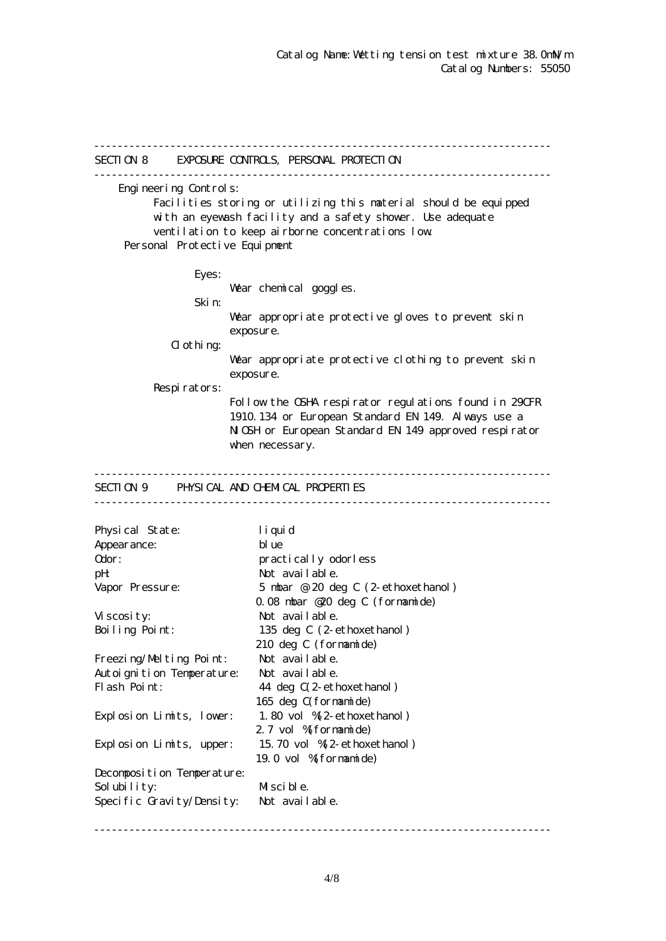------------------------------------------------------------------------------ SECTION 8 EXPOSURE CONTROLS, PERSONAL PROTECTION ------------------------------------------------------------------------------ Engineering Controls: Facilities storing or utilizing this material should be equipped with an eyewash facility and a safety shower. Use adequate ventilation to keep airborne concentrations low. Personal Protective Equipment Eyes: War chemical goggles. Skin: Wear appropriate protective gloves to prevent skin exposure.  $d$  othing: Wear appropriate protective clothing to prevent skin exposure. Respirators: Follow the OSHA respirator regulations found in 29CFR 1910.134 or European Standard EN 149. Always use a NGH or European Standard EN 149 approved respirator when necessary. ------------------------------------------------------------------------------ SECTION 9 PHYSICAL AND CHEMICAL PROPERTIES ------------------------------------------------------------------------------ Physical State: liquid Appearance: blue Odor: practically odorless pH: Not available. Vapor Pressure: 5 mbar @ 20 deg C (2-ethoxethanol) 0.08 mbar @20 deg C (formamide) Viscosity: Not available. Boiling Point: 135 deg C (2-ethoxethanol) 210 deg C (formamide) Freezing/Melting Point: Not available. Autoignition Temperature: Not available. Flash Point: 44 deg  $C(2$ -ethoxethanol) 165 deg C(formamide) Explosion Limits, lower: 1.80 vol %(2-ethoxethanol) 2.7 vol % formamide) Explosion Limits, upper: 15.70 vol %(2-ethoxethanol) 19.0 vol %(formamide) Decomposition Temperature: Solubility: Miscible. Specific Gravity/Density: Not available.

------------------------------------------------------------------------------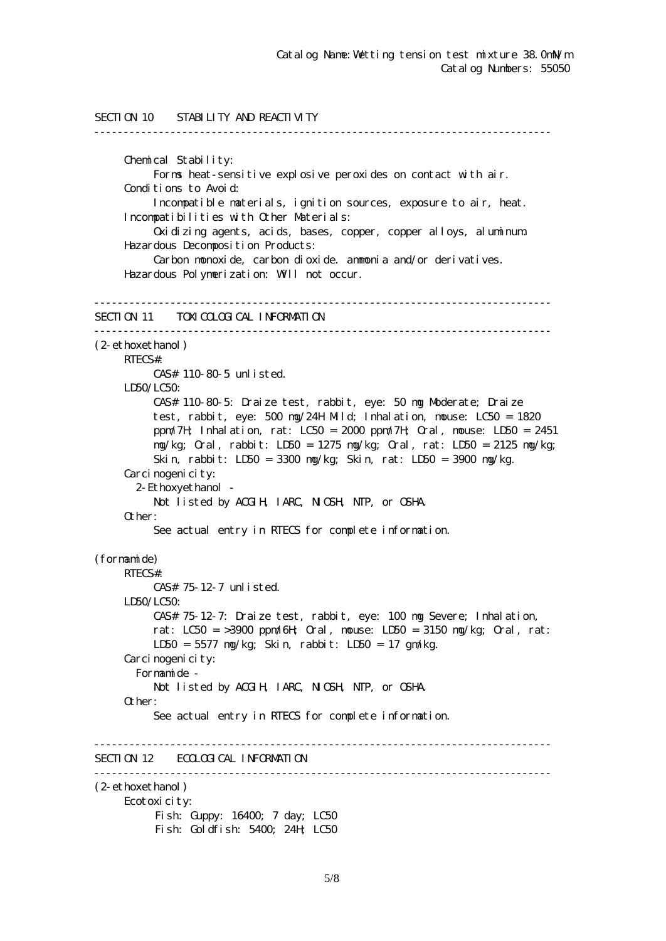```
SECTION 10 STABILITY AND REACTIVITY
------------------------------------------------------------------------------
      Chemical Stability:
           Forms heat-sensitive explosive peroxides on contact with air.
      Conditions to Avoid:
           Incompatible materials, ignition sources, exposure to air, heat.
      Incompatibilities with Other Materials:
           Oxidizing agents, acids, bases, copper, copper alloys, aluminum.
      Hazardous Decomposition Products:
           Carbon monoxide, carbon dioxide. ammonia and/or derivatives.
      Hazardous Polymerization: Will not occur.
------------------------------------------------------------------------------
SECTION 11 TOM COLOGICAL INFORMATION
------------------------------------------------------------------------------
(2-ethoxethanol)
     RTECS#:
           CAS# 110-80-5 unlisted.
    LDSO/LCSO CAS# 110-80-5: Draize test, rabbit, eye: 50 mg Moderate; Draize
           test, rabbit, eye: 500 mg/24H Mild; Inhalation, mouse: LC50 = 1820
           ppm/7H; Inhalation, rat: LC50 = 2000 ppm/7H; Oral, mouse: LD50 = 2451
           mg/kg; Oral, rabbit: LD50 = 1275 mg/kg; Oral, rat: LD50 = 2125 mg/kg;
           Skin, rabbit: LD50 = 3300 mg/kg; Skin, rat: LD50 = 3900 mg/kg.
     Carcinogenicity:
        2-Ethoxyethanol -
          Not listed by ACGIH, IARC, NICSH, NIP, or CSHA.
      Other:
           See actual entry in RTECS for complete information.
(formamide)
     RTECS#:
           CAS# 75-12-7 unlisted.
      LD50/LC50:
           CAS# 75-12-7: Draize test, rabbit, eye: 100 mg Severe; Inhalation,
          rat: LC50 = >3900 ppm/6H Qrd, nouse: LD50 = 3150 mg/kg; Qrd, rat:
           LD50 = 5577 mg/kg; Skin, rabbit: LD50 = 17 gm/kg.
     Carcinogenicity:
        Formamide -
          Not listed by ACGIH, IARC, NICSH, NIP, or CSHA.
      Other:
           See actual entry in RTECS for complete information.
------------------------------------------------------------------------------
SECTION 12 ECOLOGICAL INFORMATION
------------------------------------------------------------------------------
(2-ethoxethanol)
      Ecotoxicity:
          Fish: Guppy: 16400; 7 day; LC50
          Fish: Goldfish: 5400; 24H; LC50
```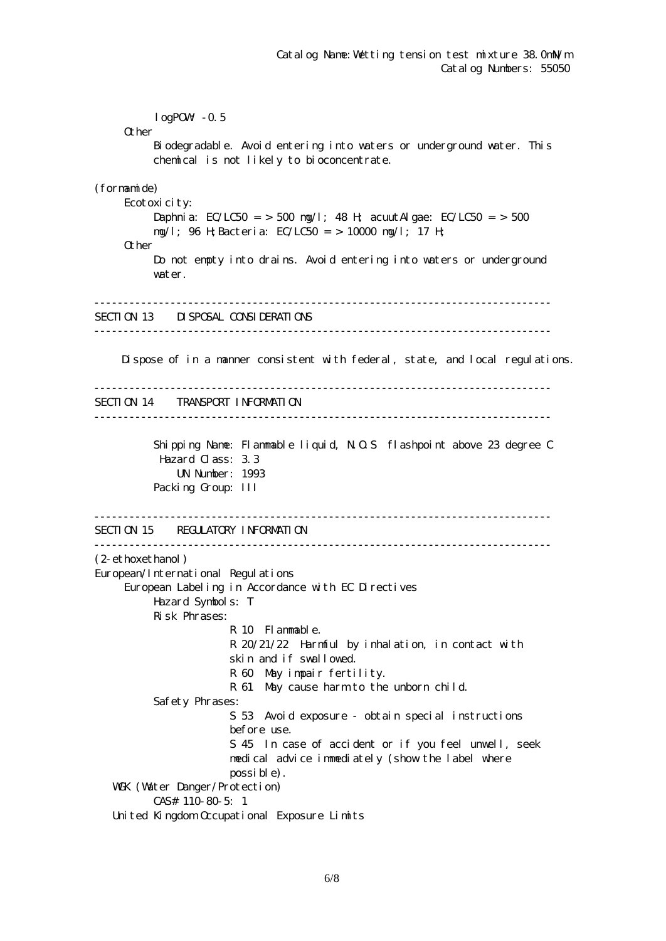$logPOW - 0.5$ **O**ther Biodegradable. Avoid entering into waters or underground water. This chemical is not likely to bioconcentrate. (formamide) Ecotoxicity: Daphnia: EC/LC50 = > 500 mg/l; 48 H; acuut Algae: EC/LC50 = > 500 mg/l; 96 H;Bacteria: EC/LC50 = > 10000 mg/l; 17 H; Other Do not empty into drains. Avoid entering into waters or underground water. ------------------------------------------------------------------------------ SECTION 13 DISPOSAL CONSIDERATIONS ------------------------------------------------------------------------------ Dispose of in a manner consistent with federal, state, and local regulations. ------------------------------------------------------------------------------ SECTION 14 TRANSPORT INFORMATION ------------------------------------------------------------------------------ Shipping Name: Flammable liquid, N.O.S flashpoint above 23 degree C Hazard Class: 3.3 UN Number: 1993 Packing Group: III ------------------------------------------------------------------------------ SECTION 15 REGULATORY INFORMATION ------------------------------------------------------------------------------ (2-ethoxethanol) European/International Regulations European Labeling in Accordance with EC Directives Hazard Symbols: T Risk Phrases: R 10 Flammable. R 20/21/22 Harmful by inhalation, in contact with skin and if swallowed. R 60 May impair fertility. R 61 May cause harm to the unborn child. Safety Phrases: S 53 Avoid exposure - obtain special instructions before use. S 45 In case of accident or if you feel unwell, seek medical advice immediately (show the label where possible). WGK (Water Danger/Protection) CAS# 110-80-5: 1 United Kingdom Occupational Exposure Limits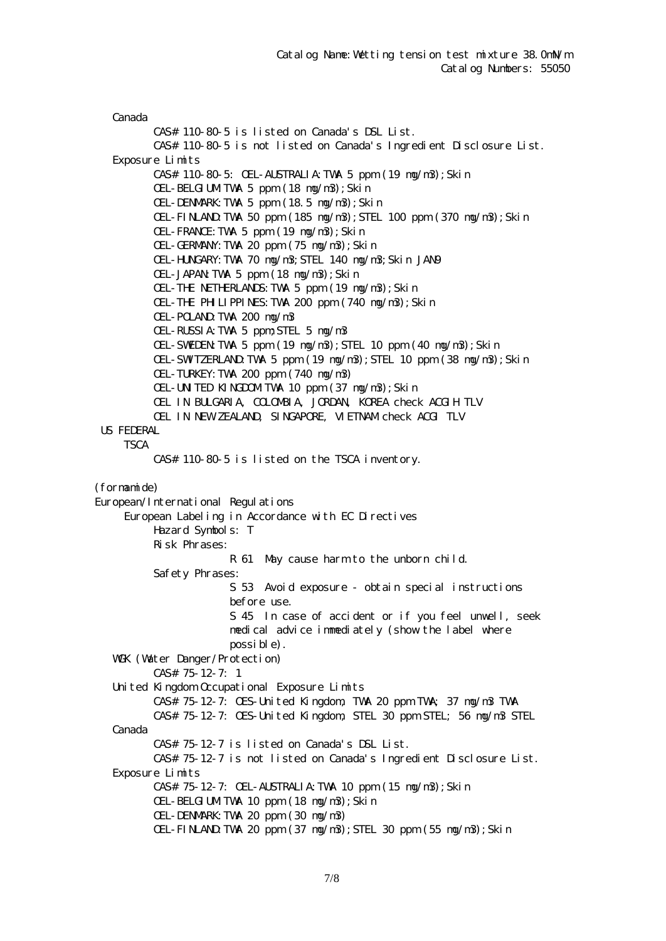Canada CAS# 110-80-5 is listed on Canada's DSL List. CAS# 110-80-5 is not listed on Canada's Ingredient Disclosure List. Exposure Limits CAS# 110-80-5: OEL-AUSTRALIA:TWA 5 ppm (19 mg/m3);Skin OEL-BELGIUMTWA 5 ppm (18 ng/n3); Skin OEL-DENMARK:TWA 5 ppm (18.5 mg/m3);Skin OEL-FINLAND:TWA 50 ppm (185 mg/m3);STEL 100 ppm (370 mg/m3);Skin OEL-FRANCE:TWA 5 ppm (19 mg/m3);Skin OEL-GERMANY:TWA 20 ppm (75 mg/m3);Skin OEL-HUNGARY:TWA 70 mg/m3;STEL 140 mg/m3;Skin JAN9 OEL-JAPAN:TWA 5 ppm (18 mg/m3);Skin OEL-THE NETHERLANDS:TWA 5 ppm (19 mg/m3);Skin OEL-THE PHILIPPINES:TWA 200 ppm (740 mg/m3);Skin OEL-POLAND:TWA 200 mg/m3 OEL-RUSSIA:TWA 5 ppm;STEL 5 mg/m3 OEL-SWEDEN:TWA 5 ppm (19 mg/m3);STEL 10 ppm (40 mg/m3);Skin OEL-SWITZERLAND:TWA 5 ppm (19 mg/m3);STEL 10 ppm (38 mg/m3);Skin OEL-TURKEY:TWA 200 ppm (740 mg/m3) OEL-UNITED KINGDOMITWA 10 ppm (37 ng/n3); Skin OEL IN BULGARIA, COLOMBIA, JORDAN, KOREA check ACGIH TLV OEL IN NEW ZEALAND, SINGAPORE, VIETNAM check ACGI TLV US FEDERAL **TSCA**  CAS# 110-80-5 is listed on the TSCA inventory. (formamide) European/International Regulations European Labeling in Accordance with EC Directives Hazard Symbols: T Risk Phrases: R 61 May cause harm to the unborn child. Safety Phrases: S 53 Avoid exposure - obtain special instructions before use. S 45 In case of accident or if you feel unwell, seek medical advice immediately (show the label where possible). WGK (Watter Danger/Protection) CAS# 75-12-7: 1 United Kingdom Occupational Exposure Limits CAS# 75-12-7: OES-United Kingdom, TWA 20 ppm TWA; 37 mg/m3 TWA CAS# 75-12-7: OES-United Kingdom, STEL 30 ppm STEL; 56 mg/m3 STEL Canada CAS# 75-12-7 is listed on Canada's DSL List. CAS# 75-12-7 is not listed on Canada's Ingredient Disclosure List. Exposure Limits CAS# 75-12-7: OEL-AUSTRALIA:TWA 10 ppm (15 mg/m3);Skin OEL-BELGIUMTWA 10 ppm (18 ng/n3); Skin OEL-DENMARK:TWA 20 ppm (30 mg/m3)  $CH$ -FINLAND TWA 20 ppm  $(37 \text{ ng/m3})$ ; STEL 30 ppm  $(55 \text{ ng/m3})$ ; Skin